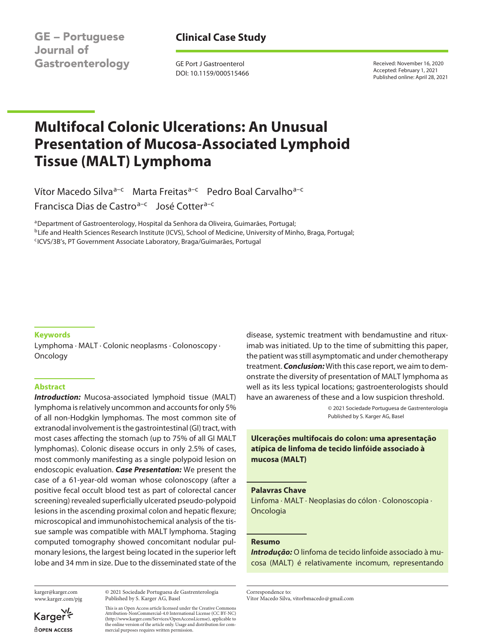**GE - Portuguese Journal of** Gastroenterology

## **Clinical Case Study**

GE Port J Gastroenterol DOI: 10.1159/000515466 Received: November 16, 2020 Accepted: February 1, 2021 Published online: April 28, 2021

# **Multifocal Colonic Ulcerations: An Unusual Presentation of Mucosa-Associated Lymphoid Tissue (MALT) Lymphoma**

Vítor Macedo Silva<sup>a–c</sup> Marta Freitas<sup>a–c</sup> Pedro Boal Carvalho<sup>a–c</sup> Francisca Dias de Castro<sup>a-c</sup> José Cotter<sup>a-c</sup>

aDepartment of Gastroenterology, Hospital da Senhora da Oliveira, Guimarães, Portugal; bLife and Health Sciences Research Institute (ICVS), School of Medicine, University of Minho, Braga, Portugal; cICVS/3B's, PT Government Associate Laboratory, Braga/Guimarães, Portugal

#### **Keywords**

Lymphoma · MALT · Colonic neoplasms · Colonoscopy · Oncology

## **Abstract**

*Introduction:* Mucosa-associated lymphoid tissue (MALT) lymphoma is relatively uncommon and accounts for only 5% of all non-Hodgkin lymphomas. The most common site of extranodal involvement is the gastrointestinal (GI) tract, with most cases affecting the stomach (up to 75% of all GI MALT lymphomas). Colonic disease occurs in only 2.5% of cases, most commonly manifesting as a single polypoid lesion on endoscopic evaluation. *Case Presentation:* We present the case of a 61-year-old woman whose colonoscopy (after a positive fecal occult blood test as part of colorectal cancer screening) revealed superficially ulcerated pseudo-polypoid lesions in the ascending proximal colon and hepatic flexure; microscopical and immunohistochemical analysis of the tissue sample was compatible with MALT lymphoma. Staging computed tomography showed concomitant nodular pulmonary lesions, the largest being located in the superior left lobe and 34 mm in size. Due to the disseminated state of the disease, systemic treatment with bendamustine and rituximab was initiated. Up to the time of submitting this paper, the patient was still asymptomatic and under chemotherapy treatment. *Conclusion:* With this case report, we aim to demonstrate the diversity of presentation of MALT lymphoma as well as its less typical locations; gastroenterologists should have an awareness of these and a low suspicion threshold.

> © 2021 Sociedade Portuguesa de Gastrenterologia Published by S. Karger AG, Basel

**Ulcerações multifocais do colon: uma apresentação atípica de linfoma de tecido linfóide associado à mucosa (MALT)**

#### **Palavras Chave**

Linfoma · MALT · Neoplasias do cólon · Colonoscopia · Oncologia

#### **Resumo**

*Introdução:* O linfoma de tecido linfoide associado à mucosa (MALT) é relativamente incomum, representando

karger@karger.com www.karger.com/pjg

Karger dopen Access

© 2021 Sociedade Portuguesa de Gastrenterologia Published by S. Karger AG, Basel

This is an Open Access article licensed under the Creative Commons Attribution-NonCommercial-4.0 International License (CC BY-NC) (http://www.karger.com/Services/OpenAccessLicense), applicable to the online version of the article only. Usage and distribution for commercial purposes requires written permission.

Correspondence to: Vítor Macedo Silva, vitorbmacedo@gmail.com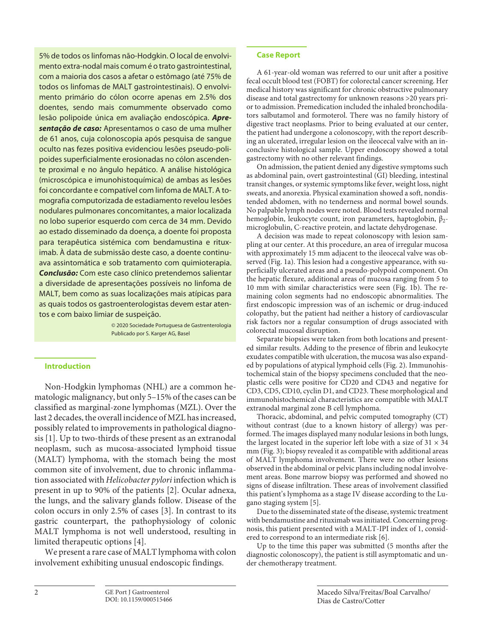5% de todos os linfomas não-Hodgkin. O local de envolvimento extra-nodal mais comum é o trato gastrointestinal, com a maioria dos casos a afetar o estômago (até 75% de todos os linfomas de MALT gastrointestinais). O envolvimento primário do cólon ocorre apenas em 2.5% dos doentes, sendo mais comummente observado como lesão polipoide única em avaliação endoscópica. *Apresentação de caso:* Apresentamos o caso de uma mulher de 61 anos, cuja colonoscopia após pesquisa de sangue oculto nas fezes positiva evidenciou lesões pseudo-polipoides superficialmente erosionadas no cólon ascendente proximal e no ângulo hepático. A análise histológica (microscópica e imunohistoquímica) de ambas as lesões foi concordante e compatível com linfoma de MALT. A tomografia computorizada de estadiamento revelou lesões nodulares pulmonares concomitantes, a maior localizada no lobo superior esquerdo com cerca de 34 mm. Devido ao estado disseminado da doença, a doente foi proposta para terapêutica sistémica com bendamustina e rituximab. À data de submissão deste caso, a doente continuava assintomática e sob tratamento com quimioterapia. *Conclusão:* Com este caso clínico pretendemos salientar a diversidade de apresentações possíveis no linfoma de MALT, bem como as suas localizações mais atípicas para as quais todos os gastroenterologistas devem estar atentos e com baixo limiar de suspeição.

> © 2020 Sociedade Portuguesa de Gastrenterologia Publicado por S. Karger AG, Basel

### **Introduction**

<span id="page-1-0"></span>Non-Hodgkin lymphomas (NHL) are a common hematologic malignancy, but only 5–15% of the cases can be classified as marginal-zone lymphomas (MZL). Over the last 2 decades, the overall incidence of MZL has increased, possibly related to improvements in pathological diagnosis [[1\]](#page-4-0). Up to two-thirds of these present as an extranodal neoplasm, such as mucosa-associated lymphoid tissue (MALT) lymphoma, with the stomach being the most common site of involvement, due to chronic inflammation associated with *Helicobacter pylori* infection which is present in up to 90% of the patients [\[2\]](#page-4-1). Ocular adnexa, the lungs, and the salivary glands follow. Disease of the colon occurs in only 2.5% of cases [\[3\]](#page-4-2). In contrast to its gastric counterpart, the pathophysiology of colonic MALT lymphoma is not well understood, resulting in limited therapeutic options [[4\]](#page-4-3).

<span id="page-1-3"></span><span id="page-1-2"></span><span id="page-1-1"></span>We present a rare case of MALT lymphoma with colon involvement exhibiting unusual endoscopic findings.

## **Case Report**

A 61-year-old woman was referred to our unit after a positive fecal occult blood test (FOBT) for colorectal cancer screening. Her medical history was significant for chronic obstructive pulmonary disease and total gastrectomy for unknown reasons >20 years prior to admission. Premedication included the inhaled bronchodilators salbutamol and formoterol. There was no family history of digestive tract neoplasms. Prior to being evaluated at our center, the patient had undergone a colonoscopy, with the report describing an ulcerated, irregular lesion on the ileocecal valve with an inconclusive histological sample. Upper endoscopy showed a total gastrectomy with no other relevant findings.

On admission, the patient denied any digestive symptoms such as abdominal pain, overt gastrointestinal (GI) bleeding, intestinal transit changes, or systemic symptoms like fever, weight loss, night sweats, and anorexia. Physical examination showed a soft, nondistended abdomen, with no tenderness and normal bowel sounds. No palpable lymph nodes were noted. Blood tests revealed normal hemoglobin, leukocyte count, iron parameters, haptoglobin,  $β<sub>2</sub>$ microglobulin, C-reactive protein, and lactate dehydrogenase.

A decision was made to repeat colonoscopy with lesion sampling at our center. At this procedure, an area of irregular mucosa with approximately 15 mm adjacent to the ileocecal valve was observed (Fig. 1a). This lesion had a congestive appearance, with superficially ulcerated areas and a pseudo-polypoid component. On the hepatic flexure, additional areas of mucosa ranging from 5 to 10 mm with similar characteristics were seen (Fig. 1b). The remaining colon segments had no endoscopic abnormalities. The first endoscopic impression was of an ischemic or drug-induced colopathy, but the patient had neither a history of cardiovascular risk factors nor a regular consumption of drugs associated with colorectal mucosal disruption.

Separate biopsies were taken from both locations and presented similar results. Adding to the presence of fibrin and leukocyte exudates compatible with ulceration, the mucosa was also expanded by populations of atypical lymphoid cells (Fig. 2). Immunohistochemical stain of the biopsy specimens concluded that the neoplastic cells were positive for CD20 and CD43 and negative for CD3, CD5, CD10, cyclin D1, and CD23. These morphological and immunohistochemical characteristics are compatible with MALT extranodal marginal zone B cell lymphoma.

Thoracic, abdominal, and pelvic computed tomography (CT) without contrast (due to a known history of allergy) was performed. The images displayed many nodular lesions in both lungs, the largest located in the superior left lobe with a size of  $31 \times 34$ mm (Fig. 3); biopsy revealed it as compatible with additional areas of MALT lymphoma involvement. There were no other lesions observed in the abdominal or pelvic plans including nodal involvement areas. Bone marrow biopsy was performed and showed no signs of disease infiltration. These areas of involvement classified this patient's lymphoma as a stage IV disease according to the Lugano staging system [[5](#page-4-4)].

<span id="page-1-4"></span>Due to the disseminated state of the disease, systemic treatment with bendamustine and rituximab was initiated. Concerning prognosis, this patient presented with a MALT-IPI index of 1, considered to correspond to an intermediate risk [\[6\]](#page-4-5).

<span id="page-1-5"></span>Up to the time this paper was submitted (5 months after the diagnostic colonoscopy), the patient is still asymptomatic and under chemotherapy treatment.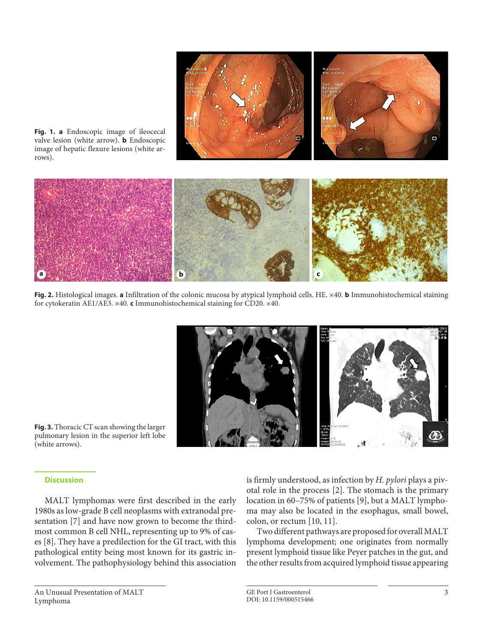

**Fig. 1. a** Endoscopic image of ileocecal valve lesion (white arrow). **b** Endoscopic image of hepatic flexure lesions (white arrows).

**Fig. 2.** Histological images. **a** Infiltration of the colonic mucosa by atypical lymphoid cells. HE. ×40. **b** Immunohistochemical staining for cytokeratin AE1/AE3. ×40. **c** Immunohistochemical staining for CD20. ×40.

**a b c**



**Fig. 3.** Thoracic CT scan showing the larger pulmonary lesion in the superior left lobe (white arrows).

## **Discussion**

<span id="page-2-1"></span><span id="page-2-0"></span>MALT lymphomas were first described in the early 1980s as low-grade B cell neoplasms with extranodal presentation [\[7](#page-4-6)] and have now grown to become the thirdmost common B cell NHL, representing up to 9% of cases [\[8\]](#page-4-7). They have a predilection for the GI tract, with this pathological entity being most known for its gastric involvement. The pathophysiology behind this association

<span id="page-2-2"></span>is firmly understood, as infection by *H. pylori* plays a pivotal role in the process [[2\]](#page-4-1). The stomach is the primary location in 60–75% of patients [[9](#page-4-8)], but a MALT lymphoma may also be located in the esophagus, small bowel, colon, or rectum [[1](#page-4-0)0, [11\]](#page-4-0).

<span id="page-2-3"></span>Two different pathways are proposed for overall MALT lymphoma development; one originates from normally present lymphoid tissue like Peyer patches in the gut, and the other results from acquired lymphoid tissue appearing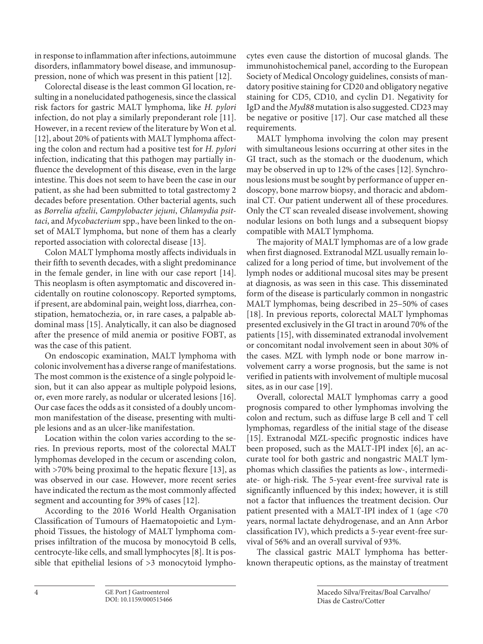in response to inflammation after infections, autoimmune disorders, inflammatory bowel disease, and immunosuppression, none of which was present in this patient [\[1](#page-4-0)[2\]](#page-4-1).

<span id="page-3-0"></span>Colorectal disease is the least common GI location, resulting in a nonelucidated pathogenesis, since the classical risk factors for gastric MALT lymphoma, like *H. pylori* infection, do not play a similarly preponderant role [[11](#page-4-0)]. However, in a recent review of the literature by Won et al. [\[1](#page-4-0)[2\]](#page-4-1), about 20% of patients with MALT lymphoma affecting the colon and rectum had a positive test for *H. pylori* infection, indicating that this pathogen may partially influence the development of this disease, even in the large intestine. This does not seem to have been the case in our patient, as she had been submitted to total gastrectomy 2 decades before presentation. Other bacterial agents, such as *Borrelia afzelii*, *Campylobacter jejuni*, *Chlamydia psittaci*, and *Mycobacterium* spp., have been linked to the onset of MALT lymphoma, but none of them has a clearly reported association with colorectal disease [[1](#page-4-0)[3\]](#page-4-2).

Colon MALT lymphoma mostly affects individuals in their fifth to seventh decades, with a slight predominance in the female gender, in line with our case report [\[1](#page-4-0)[4\]](#page-4-3). This neoplasm is often asymptomatic and discovered incidentally on routine colonoscopy. Reported symptoms, if present, are abdominal pain, weight loss, diarrhea, constipation, hematochezia, or, in rare cases, a palpable abdominal mass [\[1](#page-4-0)[5\]](#page-4-4). Analytically, it can also be diagnosed after the presence of mild anemia or positive FOBT, as was the case of this patient.

On endoscopic examination, MALT lymphoma with colonic involvement has a diverse range of manifestations. The most common is the existence of a single polypoid lesion, but it can also appear as multiple polypoid lesions, or, even more rarely, as nodular or ulcerated lesions [[1](#page-4-0)[6](#page-4-5)]. Our case faces the odds as it consisted of a doubly uncommon manifestation of the disease, presenting with multiple lesions and as an ulcer-like manifestation.

Location within the colon varies according to the series. In previous reports, most of the colorectal MALT lymphomas developed in the cecum or ascending colon, with >70% being proximal to the hepatic flexure [[1](#page-4-0)[3](#page-4-2)], as was observed in our case. However, more recent series have indicated the rectum as the most commonly affected segment and accounting for 39% of cases [\[1](#page-4-0)[2\]](#page-4-1).

According to the 2016 World Health Organisation Classification of Tumours of Haematopoietic and Lymphoid Tissues, the histology of MALT lymphoma comprises infiltration of the mucosa by monocytoid B cells, centrocyte-like cells, and small lymphocytes [[8](#page-4-7)]. It is possible that epithelial lesions of >3 monocytoid lymphocytes even cause the distortion of mucosal glands. The immunohistochemical panel, according to the European Society of Medical Oncology guidelines, consists of mandatory positive staining for CD20 and obligatory negative staining for CD5, CD10, and cyclin D1. Negativity for IgD and the *Myd88* mutation is also suggested. CD23 may be negative or positive [[1](#page-4-0)[7\]](#page-4-6). Our case matched all these requirements.

MALT lymphoma involving the colon may present with simultaneous lesions occurring at other sites in the GI tract, such as the stomach or the duodenum, which may be observed in up to 12% of the cases [\[1](#page-4-0)[2\]](#page-4-1). Synchronous lesions must be sought by performance of upper endoscopy, bone marrow biopsy, and thoracic and abdominal CT. Our patient underwent all of these procedures. Only the CT scan revealed disease involvement, showing nodular lesions on both lungs and a subsequent biopsy compatible with MALT lymphoma.

The majority of MALT lymphomas are of a low grade when first diagnosed. Extranodal MZL usually remain localized for a long period of time, but involvement of the lymph nodes or additional mucosal sites may be present at diagnosis, as was seen in this case. This disseminated form of the disease is particularly common in nongastric MALT lymphomas, being described in 25–50% of cases [[1](#page-4-0)[8](#page-4-7)]. In previous reports, colorectal MALT lymphomas presented exclusively in the GI tract in around 70% of the patients [\[1](#page-4-0)[5\]](#page-4-4), with disseminated extranodal involvement or concomitant nodal involvement seen in about 30% of the cases. MZL with lymph node or bone marrow involvement carry a worse prognosis, but the same is not verified in patients with involvement of multiple mucosal sites, as in our case [\[1](#page-4-0)[9\]](#page-4-8).

Overall, colorectal MALT lymphomas carry a good prognosis compared to other lymphomas involving the colon and rectum, such as diffuse large B cell and T cell lymphomas, regardless of the initial stage of the disease [[1](#page-4-0)[5](#page-4-4)]. Extranodal MZL-specific prognostic indices have been proposed, such as the MALT-IPI index [[6\]](#page-4-5), an accurate tool for both gastric and nongastric MALT lymphomas which classifies the patients as low-, intermediate- or high-risk. The 5-year event-free survival rate is significantly influenced by this index; however, it is still not a factor that influences the treatment decision. Our patient presented with a MALT-IPI index of 1 (age <70 years, normal lactate dehydrogenase, and an Ann Arbor classification IV), which predicts a 5-year event-free survival of 56% and an overall survival of 93%.

The classical gastric MALT lymphoma has betterknown therapeutic options, as the mainstay of treatment